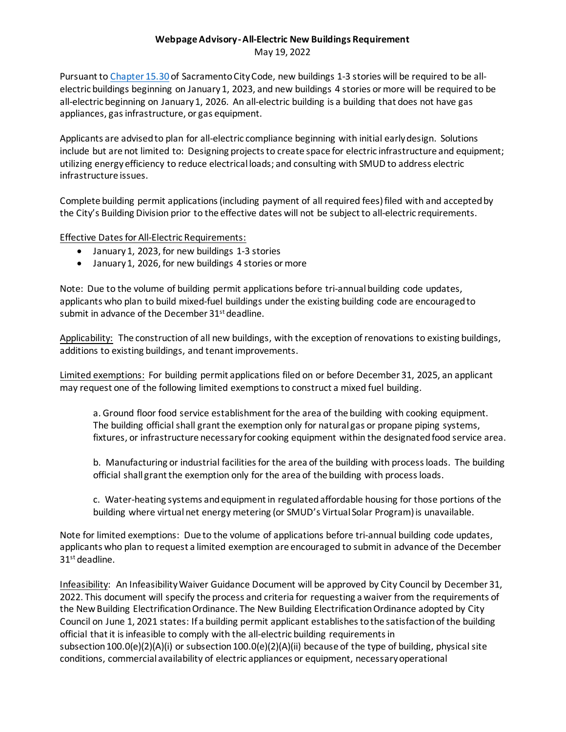## **Webpage Advisory -All-Electric New Buildings Requirement** May 19, 2022

Pursuant t[o Chapter 15.30](https://library.qcode.us/lib/sacramento_ca/pub/city_code/item/title_15-chapter_15_30?view=all) of Sacramento City Code, new buildings 1-3 stories will be required to be allelectric buildings beginning on January 1, 2023, and new buildings 4 stories or more will be required to be all-electric beginning on January 1, 2026. An all-electric building is a building that does not have gas appliances, gas infrastructure, or gas equipment.

Applicants are advised to plan for all-electric compliance beginning with initial early design. Solutions include but are not limited to: Designing projects to create space for electric infrastructure and equipment; utilizing energy efficiency to reduce electrical loads; and consulting with SMUD to address electric infrastructure issues.

Complete building permit applications (including payment of all required fees)filed with and accepted by the City's Building Division prior to the effective dates will not be subject to all-electric requirements.

**Effective Dates for All-Electric Requirements:** 

- January 1, 2023, for new buildings 1-3 stories
- January 1, 2026, for new buildings 4 stories or more

Note: Due to the volume of building permit applications before tri-annual building code updates, applicants who plan to build mixed-fuel buildings under the existing building code are encouragedto submit in advance of the December 31<sup>st</sup> deadline.

Applicability: The construction of all new buildings, with the exception of renovations to existing buildings, additions to existing buildings, and tenant improvements.

Limited exemptions: For building permit applications filed on or before December 31, 2025, an applicant may request one of the following limited exemptions to construct a mixed fuel building.

a. Ground floor food service establishment for the area of the building with cooking equipment. The building official shall grant the exemption only for natural gas or propane piping systems, fixtures, or infrastructure necessary for cooking equipment within the designated food service area.

b. Manufacturing or industrial facilities for the area of the building with process loads. The building official shall grant the exemption only for the area of the building with process loads.

c. Water-heating systems and equipment in regulated affordable housing for those portions of the building where virtual net energy metering (or SMUD's Virtual Solar Program) is unavailable.

Note for limited exemptions: Due to the volume of applications before tri-annual building code updates, applicants who plan to request a limited exemption are encouraged to submit in advance of the December 31st deadline.

Infeasibility: An Infeasibility Waiver Guidance Document will be approved by City Council by December 31, 2022. This document will specify the process and criteria for requesting a waiver from the requirements of the New Building Electrification Ordinance. The New Building Electrification Ordinance adopted by City Council on June 1, 2021 states: If a building permit applicant establishes to the satisfaction of the building official that it is infeasible to comply with the all-electric building requirements in subsection 100.0(e)(2)(A)(i) or subsection 100.0(e)(2)(A)(ii) because of the type of building, physical site conditions, commercial availability of electric appliances or equipment, necessary operational